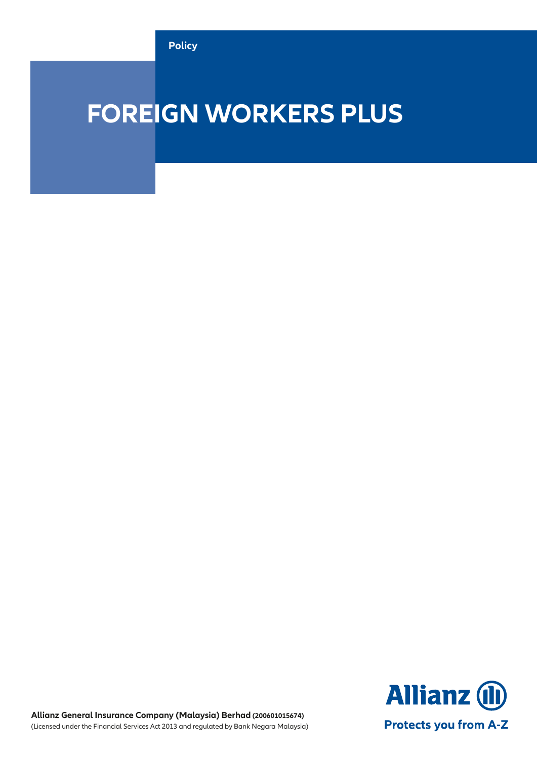

# **FOREIGN WORKERS PLUS**



**Allianz General Insurance Company (Malaysia) Berhad (200601015674)** (Licensed under the Financial Services Act 2013 and regulated by Bank Negara Malaysia)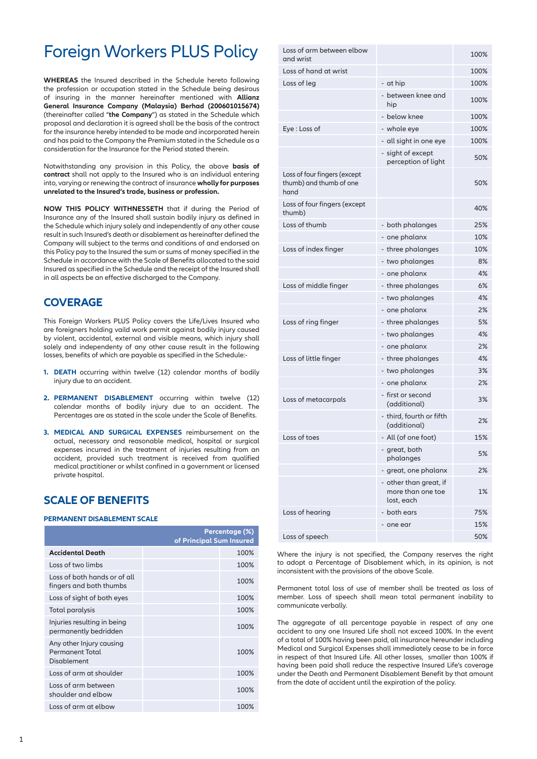## Foreign Workers PLUS Policy

**WHEREAS** the Insured described in the Schedule hereto following the profession or occupation stated in the Schedule being desirous of insuring in the manner hereinafter mentioned with **Allianz General Insurance Company (Malaysia) Berhad (200601015674)** (thereinafter called "**the Company**") as stated in the Schedule which proposal and declaration it is agreed shall be the basis of the contract for the insurance hereby intended to be made and incorporated herein and has paid to the Company the Premium stated in the Schedule as a consideration for the Insurance for the Period stated therein.

Notwithstanding any provision in this Policy, the above **basis of contract** shall not apply to the Insured who is an individual entering into, varying or renewing the contract of insurance **wholly for purposes unrelated to the Insured's trade, business or profession.**

**NOW THIS POLICY WITHNESSETH** that if during the Period of Insurance any of the Insured shall sustain bodily injury as defined in the Schedule which injury solely and independently of any other cause result in such Insured's death or disablement as hereinafter defined the Company will subject to the terms and conditions of and endorsed on this Policy pay to the Insured the sum or sums of money specified in the Schedule in accordance with the Scale of Benefits allocated to the said Insured as specified in the Schedule and the receipt of the Insured shall in all aspects be an effective discharged to the Company.

### **COVERAGE**

This Foreign Workers PLUS Policy covers the Life/Lives Insured who are foreigners holding vaild work permit against bodily injury caused by violent, accidental, external and visible means, which injury shall solely and independenty of any other cause result in the following losses, benefits of which are payable as specified in the Schedule:-

- **1. DEATH** occurring within twelve (12) calendar months of bodily injury due to an accident.
- **2. PERMANENT DISABLEMENT** occurring within twelve (12) calendar months of bodily injury due to an accident. The Percentages are as stated in the scale under the Scale of Benefits.
- **3. MEDICAL AND SURGICAL EXPENSES** reimbursement on the actual, necessary and reasonable medical, hospital or surgical expenses incurred in the treatment of injuries resulting from an accident, provided such treatment is received from qualified medical practitioner or whilst confined in a government or licensed private hospital.

### **SCALE OF BENEFITS**

### **PERMANENT DISABLEMENT SCALE**

|                                                                   | of Principal Sum Insured | Percentage (%) |
|-------------------------------------------------------------------|--------------------------|----------------|
| <b>Accidental Death</b>                                           |                          | 100%           |
| Loss of two limbs                                                 |                          | 100%           |
| Loss of both hands or of all<br>fingers and both thumbs           |                          | 100%           |
| Loss of sight of both eyes                                        |                          | 100%           |
| Total paralysis                                                   |                          | 100%           |
| Injuries resulting in being<br>permanently bedridden              |                          | 100%           |
| Any other Injury causing<br><b>Permanent Total</b><br>Disablement |                          | 100%           |
| Loss of arm at shoulder                                           |                          | 100%           |
| Loss of arm between<br>shoulder and elbow                         |                          | 100%           |
| Loss of arm at elbow                                              |                          | 100%           |

| Loss of arm between elbow<br>and wrist                          |                                                           | 100% |
|-----------------------------------------------------------------|-----------------------------------------------------------|------|
| Loss of hand at wrist                                           |                                                           | 100% |
| Loss of leg                                                     | - at hip                                                  | 100% |
|                                                                 | - between knee and<br>hip                                 | 100% |
|                                                                 | - below knee                                              | 100% |
| Eye : Loss of                                                   | - whole eye                                               | 100% |
|                                                                 | - all sight in one eye                                    | 100% |
|                                                                 | - sight of except<br>perception of light                  | 50%  |
| Loss of four fingers (except<br>thumb) and thumb of one<br>hand |                                                           | 50%  |
| Loss of four fingers (except<br>thumb)                          |                                                           | 40%  |
| Loss of thumb                                                   | - both phalanges                                          | 25%  |
|                                                                 | - one phalanx                                             | 10%  |
| Loss of index finger                                            | - three phalanges                                         | 10%  |
|                                                                 | - two phalanges                                           | 8%   |
|                                                                 | - one phalanx                                             | 4%   |
| Loss of middle finger                                           | - three phalanges                                         | 6%   |
|                                                                 | - two phalanges                                           | 4%   |
|                                                                 | - one phalanx                                             | 2%   |
| Loss of ring finger                                             | - three phalanges                                         | 5%   |
|                                                                 | - two phalanges                                           | 4%   |
|                                                                 | - one phalanx                                             | 2%   |
| Loss of little finger                                           | - three phalanges                                         | 4%   |
|                                                                 | - two phalanges                                           | 3%   |
|                                                                 | - one phalanx                                             | 2%   |
| Loss of metacarpals                                             | - first or second<br>(additional)                         | 3%   |
|                                                                 | - third, fourth or fifth<br>(additional)                  | 2%   |
| Loss of toes                                                    | - All (of one foot)                                       | 15%  |
|                                                                 | - great, both<br>phalanges                                | 5%   |
|                                                                 | great, one phalanx                                        | 2%   |
|                                                                 | - other than great, if<br>more than one toe<br>lost, each | 1%   |
| Loss of hearing                                                 | - both ears                                               | 75%  |
|                                                                 | one ear                                                   | 15%  |
| Loss of speech                                                  |                                                           | 50%  |

Where the injury is not specified, the Company reserves the right to adopt a Percentage of Disablement which, in its opinion, is not inconsistent with the provisions of the above Scale.

Permanent total loss of use of member shall be treated as loss of member. Loss of speech shall mean total permanent inability to communicate verbally.

The aggregate of all percentage payable in respect of any one accident to any one Insured Life shall not exceed 100%. In the event of a total of 100% having been paid, all insurance hereunder including Medical and Surgical Expenses shall immediately cease to be in force in respect of that Insured Life. All other losses, smaller than 100% if having been paid shall reduce the respective Insured Life's coverage under the Death and Permanent Disablement Benefit by that amount from the date of accident until the expiration of the policy.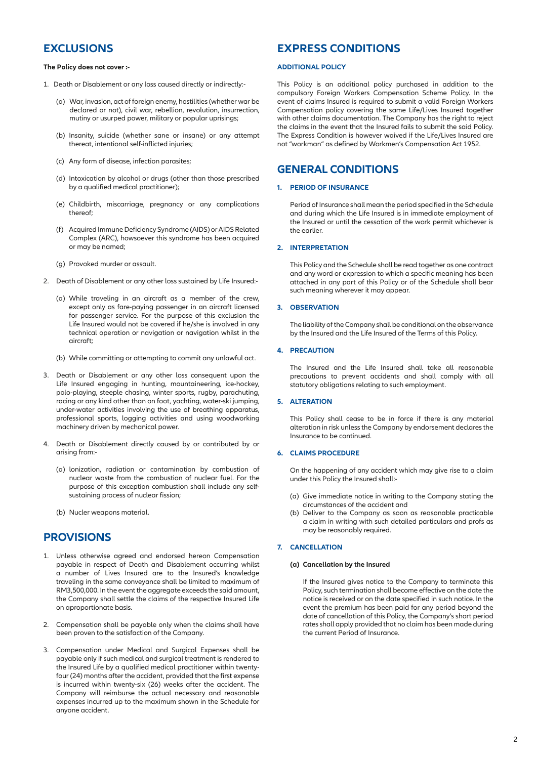### **EXCLUSIONS**

**The Policy does not cover :-**

- 1. Death or Disablement or any loss caused directly or indirectly:-
	- (a) War, invasion, act of foreign enemy, hostilities (whether war be declared or not), civil war, rebellion, revolution, insurrection, mutiny or usurped power, military or popular uprisings;
	- (b) Insanity, suicide (whether sane or insane) or any attempt thereat, intentional self-inflicted injuries;
	- (c) Any form of disease, infection parasites;
	- (d) Intoxication by alcohol or drugs (other than those prescribed by a qualified medical practitioner);
	- (e) Childbirth, miscarriage, pregnancy or any complications thereof;
	- (f) Acquired Immune Deficiency Syndrome (AIDS) or AIDS Related Complex (ARC), howsoever this syndrome has been acquired or may be named;
	- (g) Provoked murder or assault.
- 2. Death of Disablement or any other loss sustained by Life Insured:-
	- (a) While traveling in an aircraft as a member of the crew, except only as fare-paying passenger in an aircraft licensed for passenger service. For the purpose of this exclusion the Life Insured would not be covered if he/she is involved in any technical operation or navigation or navigation whilst in the aircraft;
	- (b) While committing or attempting to commit any unlawful act.
- 3. Death or Disablement or any other loss consequent upon the Life Insured engaging in hunting, mountaineering, ice-hockey, polo-playing, steeple chasing, winter sports, rugby, parachuting, racing or any kind other than on foot, yachting, water-ski jumping, under-water activities involving the use of breathing apparatus, professional sports, logging activities and using woodworking machinery driven by mechanical power.
- 4. Death or Disablement directly caused by or contributed by or arising from:-
	- (a) lonization, radiation or contamination by combustion of nuclear waste from the combustion of nuclear fuel. For the purpose of this exception combustion shall include any selfsustaining process of nuclear fission;
	- (b) Nucler weapons material.

### **PROVISIONS**

- 1. Unless otherwise agreed and endorsed hereon Compensation payable in respect of Death and Disablement occurring whilst a number of Lives Insured are to the Insured's knowledge traveling in the same conveyance shall be limited to maximum of RM3,500,000. In the event the aggregate exceeds the said amount, the Company shall settle the claims of the respective Insured Life on aproportionate basis.
- 2. Compensation shall be payable only when the claims shall have been proven to the satisfaction of the Company.
- 3. Compensation under Medical and Surgical Expenses shall be payable only if such medical and surgical treatment is rendered to the Insured Life by a qualified medical practitioner within twentyfour (24) months after the accident, provided that the first expense is incurred within twenty-six (26) weeks after the accident. The Company will reimburse the actual necessary and reasonable expenses incurred up to the maximum shown in the Schedule for anyone accident.

### **EXPRESS CONDITIONS**

### **ADDITIONAL POLICY**

This Policy is an additional policy purchased in addition to the compulsory Foreign Workers Compensation Scheme Policy. In the event of claims Insured is required to submit a valid Foreign Workers Compensation policy covering the same Life/Lives Insured together with other claims documentation. The Company has the right to reject the claims in the event that the Insured fails to submit the said Policy. The Express Condition is however waived if the Life/Lives Insured are not "workman" as defined by Workmen's Compensation Act 1952.

### **GENERAL CONDITIONS**

### **1. PERIOD OF INSURANCE**

Period of Insurance shall mean the period specified in the Schedule and during which the Life Insured is in immediate employment of the Insured or until the cessation of the work permit whichever is the earlier.

### **2. INTERPRETATION**

This Policy and the Schedule shall be read together as one contract and any word or expression to which a specific meaning has been attached in any part of this Policy or of the Schedule shall bear such meaning wherever it may appear.

### **3. OBSERVATION**

The liability of the Company shall be conditional on the observance by the Insured and the Life Insured of the Terms of this Policy.

### **4. PRECAUTION**

The Insured and the Life Insured shall take all reasonable precautions to prevent accidents and shall comply with all statutory obligations relating to such employment.

### **5. ALTERATION**

This Policy shall cease to be in force if there is any material alteration in risk unless the Company by endorsement declares the Insurance to be continued.

### **6. CLAIMS PROCEDURE**

On the happening of any accident which may give rise to a claim under this Policy the Insured shall:-

- (a) Give immediate notice in writing to the Company stating the circumstances of the accident and
- (b) Deliver to the Company as soon as reasonable practicable a claim in writing with such detailed particulars and profs as may be reasonably required.

### **7. CANCELLATION**

### **(a) Cancellation by the Insured**

 If the Insured gives notice to the Company to terminate this Policy, such termination shall become effective on the date the notice is received or on the date specified in such notice. In the event the premium has been paid for any period beyond the date of cancellation of this Policy, the Company's short period rates shall apply provided that no claim has been made during the current Period of Insurance.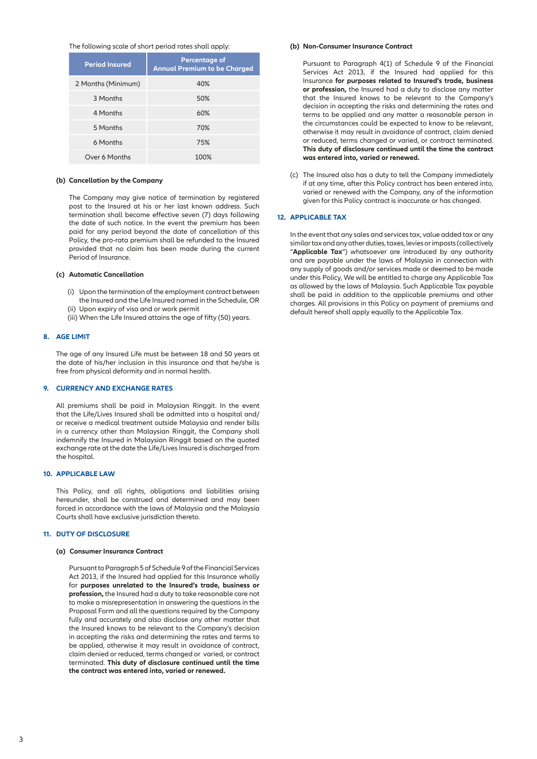### The following scale of short period rates shall apply:

| <b>Period Insured</b> | <b>Percentage of</b><br><b>Annual Premium to be Charged</b> |
|-----------------------|-------------------------------------------------------------|
| 2 Months (Minimum)    | 40%                                                         |
| 3 Months              | 50%                                                         |
| 4 Months              | 60%                                                         |
| 5 Months              | 70%                                                         |
| 6 Months              | 75%                                                         |
| Over 6 Months         | 100%                                                        |

### **(b) Cancellation by the Company**

 The Company may give notice of termination by registered post to the Insured at his or her last known address. Such termination shall become effective seven (7) days following the date of such notice. In the event the premium has been paid for any period beyond the date of cancellation of this Policy, the pro-rata premium shall be refunded to the Insured provided that no claim has been made during the current Period of Insurance.

### **(c) Automatic Cancellation**

- (i) Upon the termination of the employment contract between the Insured and the Life Insured named in the Schedule, OR (ii) Upon expiry of visa and or work permit
- (iii) When the Life Insured attains the age of fifty (50) years.

#### **8. AGE LIMIT**

The age of any Insured Life must be between 18 and 50 years at the date of his/her inclusion in this insurance and that he/she is free from physical deformity and in normal health.

### **9. CURRENCY AND EXCHANGE RATES**

All premiums shall be paid in Malaysian Ringgit. In the event that the Life/Lives Insured shall be admitted into a hospital and/ or receive a medical treatment outside Malaysia and render bills in a currency other than Malaysian Ringgit, the Company shall indemnify the Insured in Malaysian Ringgit based on the quoted exchange rate at the date the Life/Lives Insured is discharged from the hospital.

### **10. APPLICABLE LAW**

This Policy, and all rights, obligations and liabilities arising hereunder, shall be construed and determined and may been forced in accordance with the laws of Malaysia and the Malaysia Courts shall have exclusive jurisdiction thereto.

### **11. DUTY OF DISCLOSURE**

#### **(a) Consumer Insurance Contract**

Pursuant to Paragraph 5 of Schedule 9 of the Financial Services Act 2013, if the Insured had applied for this Insurance wholly for **purposes unrelated to the Insured's trade, business or profession,** the Insured had a duty to take reasonable care not to make a misrepresentation in answering the questions in the Proposal Form and all the questions required by the Company fully and accurately and also disclose any other matter that the Insured knows to be relevant to the Company's decision in accepting the risks and determining the rates and terms to be applied, otherwise it may result in avoidance of contract, claim denied or reduced, terms changed or varied, or contract terminated. **This duty of disclosure continued until the time the contract was entered into, varied or renewed.**

### **(b) Non-Consumer Insurance Contract**

Pursuant to Paragraph 4(1) of Schedule 9 of the Financial Services Act 2013, if the Insured had applied for this Insurance **for purposes related to Insured's trade, business or profession,** the Insured had a duty to disclose any matter that the Insured knows to be relevant to the Company's decision in accepting the risks and determining the rates and terms to be applied and any matter a reasonable person in the circumstances could be expected to know to be relevant, otherwise it may result in avoidance of contract, claim denied or reduced, terms changed or varied, or contract terminated. **This duty of disclosure continued until the time the contract was entered into, varied or renewed.**

(c) The Insured also has a duty to tell the Company immediately if at any time, after this Policy contract has been entered into, varied or renewed with the Company, any of the information given for this Policy contract is inaccurate or has changed.

### **12. APPLICABLE TAX**

In the event that any sales and services tax, value added tax or any similar tax and any other duties, taxes, levies or imposts (collectively "**Applicable Tax**") whatsoever are introduced by any authority and are payable under the laws of Malaysia in connection with any supply of goods and/or services made or deemed to be made under this Policy, We will be entitled to charge any Applicable Tax as allowed by the laws of Malaysia. Such Applicable Tax payable shall be paid in addition to the applicable premiums and other charges. All provisions in this Policy on payment of premiums and default hereof shall apply equally to the Applicable Tax.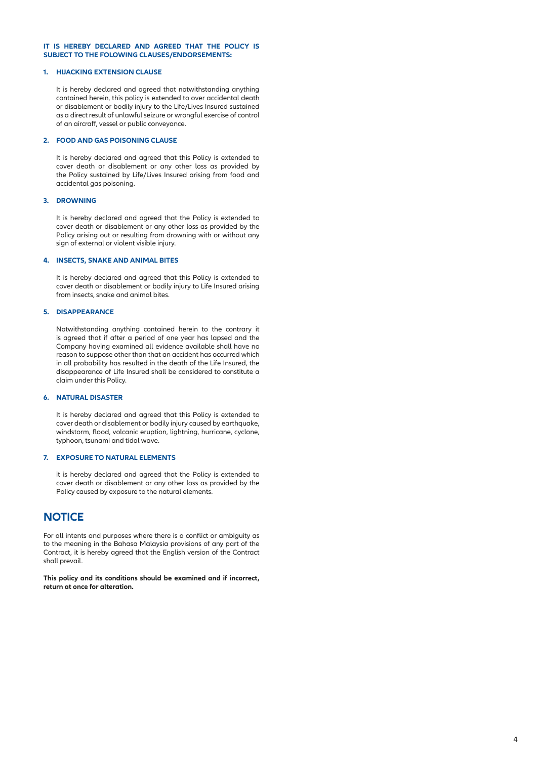### **IT IS HEREBY DECLARED AND AGREED THAT THE POLICY IS SUBJECT TO THE FOLOWING CLAUSES/ENDORSEMENTS:**

### **1. HIJACKING EXTENSION CLAUSE**

It is hereby declared and agreed that notwithstanding anything contained herein, this policy is extended to over accidental death or disablement or bodily injury to the Life/Lives Insured sustained as a direct result of unlawful seizure or wrongful exercise of control of an aircraff, vessel or public conveyance.

#### **2. FOOD AND GAS POISONING CLAUSE**

It is hereby declared and agreed that this Policy is extended to cover death or disablement or any other loss as provided by the Policy sustained by Life/Lives Insured arising from food and accidental gas poisoning.

### **3. DROWNING**

It is hereby declared and agreed that the Policy is extended to cover death or disablement or any other loss as provided by the Policy arising out or resulting from drowning with or without any sign of external or violent visible injury.

### **4. INSECTS, SNAKE AND ANIMAL BITES**

It is hereby declared and agreed that this Policy is extended to cover death or disablement or bodily injury to Life Insured arising from insects, snake and animal bites.

### **5. DISAPPEARANCE**

Notwithstanding anything contained herein to the contrary it is agreed that if after a period of one year has lapsed and the Company having examined all evidence available shall have no reason to suppose other than that an accident has occurred which in all probability has resulted in the death of the Life Insured, the disappearance of Life Insured shall be considered to constitute a claim under this Policy.

### **6. NATURAL DISASTER**

It is hereby declared and agreed that this Policy is extended to cover death or disablement or bodily injury caused by earthquake, windstorm, flood, volcanic eruption, lightning, hurricane, cyclone, typhoon, tsunami and tidal wave.

### **7. EXPOSURE TO NATURAL ELEMENTS**

it is hereby declared and agreed that the Policy is extended to cover death or disablement or any other loss as provided by the Policy caused by exposure to the natural elements.

### **NOTICE**

For all intents and purposes where there is a conflict or ambiguity as to the meaning in the Bahasa Malaysia provisions of any part of the Contract, it is hereby agreed that the English version of the Contract shall prevail.

**This policy and its conditions should be examined and if incorrect, return at once for alteration.**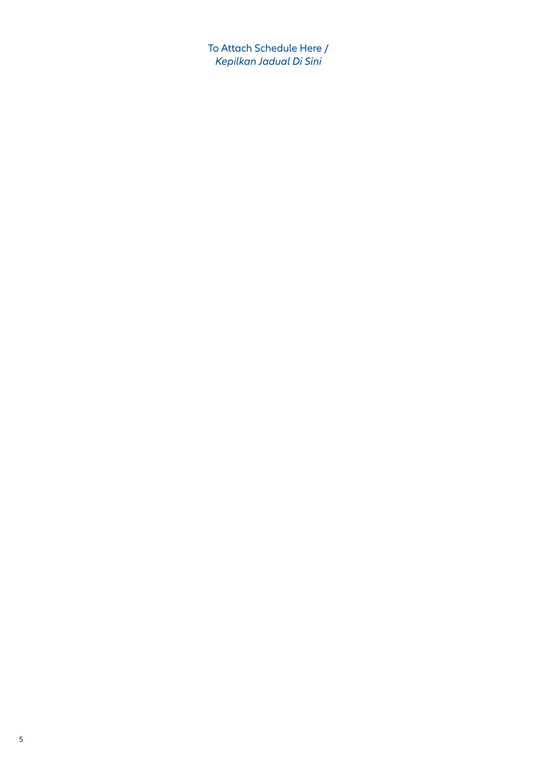To Attach Schedule Here / *Kepilkan Jadual Di Sini*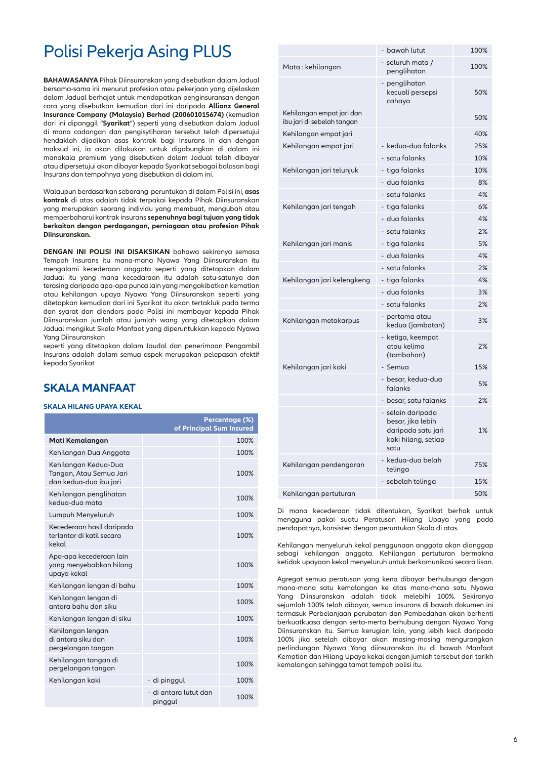## Polisi Pekerja Asing PLUS

**BAHAWASANYA** Pihak Diinsuranskan yang disebutkan dalam Jadual bersama-sama ini menurut profesion atau pekerjaan yang dijelaskan dalam Jadual berhajat untuk mendapatkan penginsuransan dengan cara yang disebutkan kemudian dari ini daripada **Allianz General Insurance Company (Malaysia) Berhad (200601015674)** (kemudian dari ini dipanggil "**Syarikat**") seperti yang disebutkan dalam Jadual di mana cadangan dan pengisytiharan tersebut telah dipersetujui hendaklah dijadikan asas kontrak bagi Insurans in dan dengan maksud ini, ia akan dilakukan untuk digabungkan di dalam ini manakala premium yang disebutkan dalam Jadual telah dibayar atau dipersetujui akan dibayar kepada Syarikat sebagai balasan bagi Insurans dan tempohnya yang disebutkan di dalam ini.

Walaupun berdasarkan sebarang peruntukan di dalam Polisi ini, **asas kontrak** di atas adalah tidak terpakai kepada Pihak Diinsuranskan yang merupakan seorang individu yang membuat, mengubah atau memperbaharui kontrak insurans **sepenuhnya bagi tujuan yang tidak berkaitan dengan perdagangan, perniagaan atau profesion Pihak Diinsuranskan.**

**DENGAN INI POLISI INI DISAKSIKAN** bahawa sekiranya semasa Tempoh Insurans itu mana-mana Nyawa Yang Diinsuranskan itu mengalami kecederaan anggota seperti yang ditetapkan dalam Jadual itu yang mana kecedaraan itu adalah satu-satunya dan terasing daripada apa-apa punca lain yang mengakibatkan kematian atau kehilangan upaya Nyawa Yang Diinsuranskan seperti yang ditetapkan kemudian dari ini Syarikat itu akan tertakluk pada terma dan syarat dan diendors pada Polisi ini membayar kepada Pihak Diinsuranskan jumlah atau jumlah wang yang ditetapkan dalam Jadual mengikut Skala Manfaat yang diperuntukkan kepada Nyawa Yang Diinsuranskan

seperti yang ditetapkan dalam Jaudal dan penerimaan Pengambil Insurans adalah dalam semua aspek merupakan pelepasan efektif kepada Syarikat

### **SKALA MANFAAT**

### **SKALA HILANG UPAYA KEKAL**

|                                                                           | Percentage (%)<br>of Principal Sum Insured |      |
|---------------------------------------------------------------------------|--------------------------------------------|------|
| Mati Kemalangan                                                           |                                            | 100% |
| Kehilangan Dua Anggota                                                    |                                            | 100% |
| Kehilangan Kedua-Dua<br>Tangan, Atau Semua Jari<br>dan kedua-dua ibu jari |                                            | 100% |
| Kehilangan penglihatan<br>kedua-dua mata                                  |                                            | 100% |
| Lumpuh Menyeluruh                                                         |                                            | 100% |
| Kecederaan hasil daripada<br>terlantar di katil secara<br>kekal           |                                            | 100% |
| Apa-apa kecederaan lain<br>yang menyebabkan hilang<br>upaya kekal         |                                            | 100% |
| Kehilangan lengan di bahu                                                 |                                            | 100% |
| Kehilangan lengan di<br>antara bahu dan siku                              |                                            | 100% |
| Kehilangan lengan di siku                                                 |                                            | 100% |
| Kehilangan lengan<br>di antara siku dan<br>pergelangan tangan             |                                            | 100% |
| Kehilangan tangan di<br>pergelangan tangan                                |                                            | 100% |
| Kehilangan kaki                                                           | - di pinggul                               | 100% |
|                                                                           | - di antara lutut dan<br>pinggul           | 100% |

|                                                         | - bawah lutut                                                                               | 100% |
|---------------------------------------------------------|---------------------------------------------------------------------------------------------|------|
| Mata : kehilangan                                       | - seluruh mata /<br>penglihatan                                                             | 100% |
|                                                         | - penglihatan<br>kecuali persepsi<br>cahaya                                                 | 50%  |
| Kehilangan empat jari dan<br>ibu jari di sebelah tangan |                                                                                             | 50%  |
| Kehilangan empat jari                                   |                                                                                             | 40%  |
| Kehilangan empat jari                                   | - kedua-dua falanks                                                                         | 25%  |
|                                                         | - satu falanks                                                                              | 10%  |
| Kehilangan jari telunjuk                                | - tiga falanks                                                                              | 10%  |
|                                                         | - dua falanks                                                                               | 8%   |
|                                                         | - satu falanks                                                                              | 4%   |
| Kehilangan jari tengah                                  | - tiga falanks                                                                              | 6%   |
|                                                         | - dua falanks                                                                               | 4%   |
|                                                         | - satu falanks                                                                              | 2%   |
| Kehilangan jari manis                                   | - tiga falanks                                                                              | 5%   |
|                                                         | - dua falanks                                                                               | 4%   |
|                                                         | - satu falanks                                                                              | 2%   |
| Kehilangan jari kelengkeng                              | - tiaa falanks                                                                              | 4%   |
|                                                         | - dua falanks                                                                               | 3%   |
|                                                         | - satu falanks                                                                              | 2%   |
| Kehilangan metakarpus                                   | - pertama atau<br>kedua (jambatan)                                                          | 3%   |
|                                                         | - ketiga, keempat<br>atau kelima<br>(tambahan)                                              | 2%   |
| Kehilangan jari kaki                                    | - Semua                                                                                     | 15%  |
|                                                         | - besar, kedua-dua<br>falanks                                                               | 5%   |
|                                                         | - besar, satu falanks                                                                       | 2%   |
|                                                         | - selain daripada<br>besar, jika lebih<br>daripada satu jari<br>kaki hilang, setiap<br>satu | 1%   |
| Kehilangan pendengaran                                  | - kedua-dua belah<br>telinga                                                                | 75%  |
|                                                         | - sebelah telinga                                                                           | 15%  |
| Kehilangan pertuturan                                   |                                                                                             | 50%  |

Di mana kecederaan tidak ditentukan, Syarikat berhak untuk mengguna pakai suatu Peratusan Hilang Upaya yang pada pendapatnya, konsisten dengan peruntukan Skala di atas.

Kehilangan menyeluruh kekal penggunaan anggota akan dianggap sebagi kehilangan anggota. Kehilangan pertuturan bermakna ketidak upayaan kekal menyeluruh untuk berkomunikasi secara lisan.

Agregat semua peratusan yang kena dibayar berhubunga dengan mana-mana satu kemalangan ke atas mana-mana satu Nyawa Yang Diinsuranskan adalah tidak melebihi 100%. Sekiranya sejumlah 100% telah dibayar, semua insurans di bawah dokumen ini termasuk Perbelanjaan perubatan dan Pembedahan akan berhenti berkuatkuasa dengan serta-merta berhubung dengan Nyawa Yang Diinsuranskan itu. Semua kerugian lain, yang lebih kecil daripada 100% jika setelah dibayar akan masing-masing mengurangkan perlindungan Nyawa Yang diinsuranskan itu di bawah Manfaat Kematian dan Hilang Upaya kekal dengan jumlah tersebut dari tarikh kemalangan sehingga tamat tempoh polisi itu.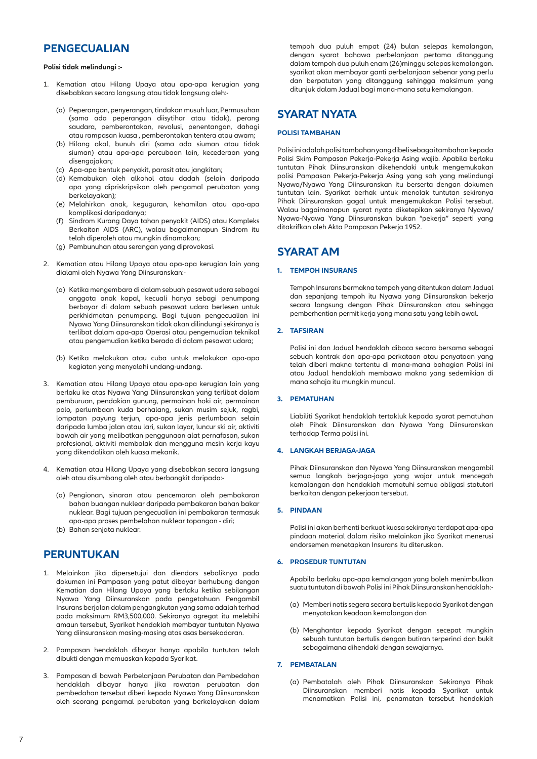### **PENGECUALIAN**

### **Polisi tidak melindungi :-**

- 1. Kematian atau Hilang Upaya atau apa-apa kerugian yang disebabkan secara langsung atau tidak langsung oleh:-
	- (a) Peperangan, penyerangan, tindakan musuh luar, Permusuhan (sama ada peperangan diisytihar atau tidak), perang saudara, pemberontakan, revolusi, penentangan, dahagi atau rampasan kuasa , pemberontakan tentera atau awam;
	- (b) Hilang akal, bunuh diri (sama ada siuman atau tidak siuman) atau apa-apa percubaan lain, kecederaan yang disengajakan;
	- (c) Apa-apa bentuk penyakit, parasit atau jangkitan;
	- (d) Kemabukan oleh alkohol atau dadah (selain daripada apa yang dipriskripsikan oleh pengamal perubatan yang berkelayakan);
	- (e) Melahirkan anak, keguguran, kehamilan atau apa-apa komplikasi daripadanya;
	- (f) Sindrom Kurang Daya tahan penyakit (AIDS) atau Kompleks Berkaitan AIDS (ARC), walau bagaimanapun Sindrom itu telah diperoleh atau mungkin dinamakan;
	- (g) Pembunuhan atau serangan yang diprovokasi.
- 2. Kematian atau Hilang Upaya atau apa-apa kerugian lain yang dialami oleh Nyawa Yang Diinsuranskan:-
	- (a) Ketika mengembara di dalam sebuah pesawat udara sebagai anggota anak kapal, kecuali hanya sebagi penumpang berbayar di dalam sebuah pesawat udara berlesen untuk perkhidmatan penumpang. Bagi tujuan pengecualian ini Nyawa Yang Diinsuranskan tidak akan dilindungi sekiranya is terlibat dalam apa-apa Operasi atau pengemudian teknikal atau pengemudian ketika berada di dalam pesawat udara;
	- (b) Ketika melakukan atau cuba untuk melakukan apa-apa kegiatan yang menyalahi undang-undang.
- 3. Kematian atau Hilang Upaya atau apa-apa kerugian lain yang berlaku ke atas Nyawa Yang Diinsuranskan yang terlibat dalam pemburuan, pendakian gunung, permainan hoki air, permainan polo, perlumbaan kuda berhalang, sukan musim sejuk, ragbi, lompatan payung terjun, apa-apa jenis perlumbaan selain daripada lumba jalan atau lari, sukan layar, luncur ski air, aktiviti bawah air yang melibatkan penggunaan alat pernafasan, sukan profesional, aktiviti membalak dan mengguna mesin kerja kayu yang dikendalikan oleh kuasa mekanik.
- 4. Kematian atau Hilang Upaya yang disebabkan secara langsung oleh atau disumbang oleh atau berbangkit daripada:-
	- (a) Pengionan, sinaran atau pencemaran oleh pembakaran bahan buangan nuklear daripada pembakaran bahan bakar nuklear. Bagi tujuan pengecualian ini pembakaran termasuk apa-apa proses pembelahan nuklear topangan - diri;
	- (b) Bahan senjata nuklear.

### **PERUNTUKAN**

- 1. Melainkan jika dipersetujui dan diendors sebaliknya pada dokumen ini Pampasan yang patut dibayar berhubung dengan Kematian dan Hilang Upaya yang berlaku ketika sebilangan Nyawa Yang Diinsuranskan pada pengetahuan Pengambil Insurans berjalan dalam pengangkutan yang sama adalah terhad pada maksimum RM3,500,000. Sekiranya agregat itu melebihi amaun tersebut, Syarikat hendaklah membayar tuntutan Nyawa Yang diinsuranskan masing-masing atas asas bersekadaran.
- 2. Pampasan hendaklah dibayar hanya apabila tuntutan telah dibukti dengan memuaskan kepada Syarikat.
- 3. Pampasan di bawah Perbelanjaan Perubatan dan Pembedahan hendaklah dibayar hanya jika rawatan perubatan dan pembedahan tersebut diberi kepada Nyawa Yang Diinsuranskan oleh seorang pengamal perubatan yang berkelayakan dalam

tempoh dua puluh empat (24) bulan selepas kemalangan, dengan syarat bahawa perbelanjaan pertama ditanggung dalam tempoh dua puluh enam (26)minggu selepas kemalangan. syarikat akan membayar ganti perbelanjaan sebenar yang perlu dan berpatutan yang ditanggung sehingga maksimum yang ditunjuk dalam Jadual bagi mana-mana satu kemalangan.

### **SYARAT NYATA**

### **POLISI TAMBAHAN**

Polisi ini adalah polisi tambahan yang dibeli sebagai tambahan kepada Polisi Skim Pampasan Pekerja-Pekerja Asing wajib. Apabila berlaku tuntutan Pihak Diinsuranskan dikehendaki untuk mengemukakan polisi Pampasan Pekerja-Pekerja Asing yang sah yang melindungi Nyawa/Nyawa Yang Diinsuranskan itu berserta dengan dokumen tuntutan lain. Syarikat berhak untuk menolak tuntutan sekiranya Pihak Diinsuranskan gagal untuk mengemukakan Polisi tersebut. Walau bagaimanapun syarat nyata diketepikan sekiranya Nyawa/ Nyawa-Nyawa Yang Diinsuranskan bukan "pekerja" seperti yang ditakrifkan oleh Akta Pampasan Pekerja 1952.

### **SYARAT AM**

### **1. TEMPOH INSURANS**

Tempoh Insurans bermakna tempoh yang ditentukan dalam Jadual dan sepanjang tempoh itu Nyawa yang Diinsuranskan bekerja secara langsung dengan Pihak Diinsuranskan atau sehingga pemberhentian permit kerja yang mana satu yang lebih awal.

### **2. TAFSIRAN**

Polisi ini dan Jadual hendaklah dibaca secara bersama sebagai sebuah kontrak dan apa-apa perkataan atau penyataan yang telah diberi makna tertentu di mana-mana bahagian Polisi ini atau Jadual hendaklah membawa makna yang sedemikian di mana sahaja itu mungkin muncul.

#### **3. PEMATUHAN**

Liabiliti Syarikat hendaklah tertakluk kepada syarat pematuhan oleh Pihak Diinsuranskan dan Nyawa Yang Diinsuranskan terhadap Terma polisi ini.

### **4. LANGKAH BERJAGA-JAGA**

Pihak Diinsuranskan dan Nyawa Yang Diinsuranskan mengambil semua langkah berjaga-jaga yang wajar untuk mencegah kemalangan dan hendaklah mematuhi semua obligasi statutori berkaitan dengan pekerjaan tersebut.

#### **5. PINDAAN**

Polisi ini akan berhenti berkuat kuasa sekiranya terdapat apa-apa pindaan material dalam risiko melainkan jika Syarikat menerusi endorsemen menetapkan Insurans itu diteruskan.

### **6. PROSEDUR TUNTUTAN**

Apabila berlaku apa-apa kemalangan yang boleh menimbulkan suatu tuntutan di bawah Polisi ini Pihak Diinsuranskan hendaklah:-

- (a) Memberi notis segera secara bertulis kepada Syarikat dengan menyatakan keadaan kemalangan dan
- (b) Menghantar kepada Syarikat dengan secepat mungkin sebuah tuntutan bertulis dengan butiran terperinci dan bukit sebagaimana dihendaki dengan sewajarnya.

### **7. PEMBATALAN**

(a) Pembatalah oleh Pihak Diinsuranskan Sekiranya Pihak Diinsuranskan memberi notis kepada Syarikat untuk menamatkan Polisi ini, penamatan tersebut hendaklah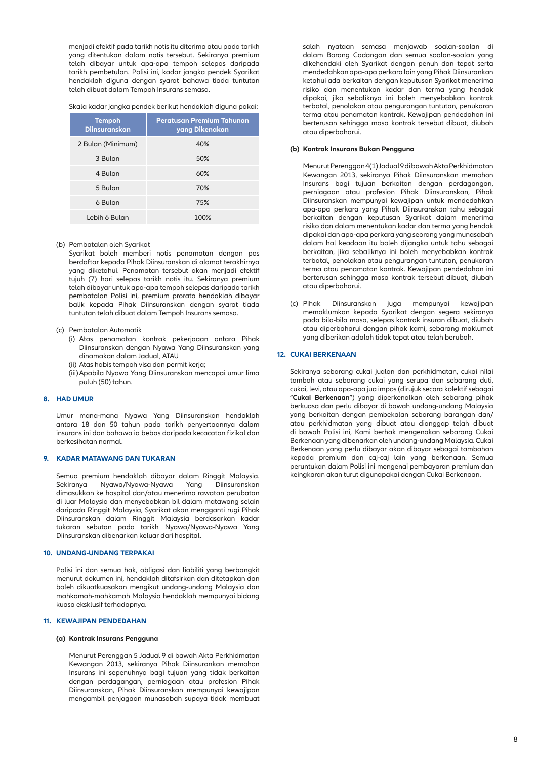menjadi efektif pada tarikh notis itu diterima atau pada tarikh yang ditentukan dalam notis tersebut. Sekiranya premium telah dibayar untuk apa-apa tempoh selepas daripada tarikh pembetulan. Polisi ini, kadar jangka pendek Syarikat hendaklah diguna dengan syarat bahawa tiada tuntutan telah dibuat dalam Tempoh Insurans semasa.

|  |  | Skala kadar jangka pendek berikut hendaklah diguna pakai: |  |
|--|--|-----------------------------------------------------------|--|
|--|--|-----------------------------------------------------------|--|

| <b>Tempoh</b><br><b>Diinsuranskan</b> | <b>Peratusan Premium Tahunan</b><br>yang Dikenakan |
|---------------------------------------|----------------------------------------------------|
| 2 Bulan (Minimum)                     | 40%                                                |
| 3 Bulan                               | 50%                                                |
| 4 Bulan                               | 60%                                                |
| 5 Bulan                               | 70%                                                |
| 6 Bulan                               | 75%                                                |
| Lebih 6 Bulan                         | 100%                                               |

#### (b) Pembatalan oleh Syarikat

 Syarikat boleh memberi notis penamatan dengan pos berdaftar kepada Pihak Diinsuranskan di alamat terakhirnya yang diketahui. Penamatan tersebut akan menjadi efektif tujuh (7) hari selepas tarikh notis itu. Sekiranya premium telah dibayar untuk apa-apa tempoh selepas daripada tarikh pembatalan Polisi ini, premium prorata hendaklah dibayar balik kepada Pihak Diinsuranskan dengan syarat tiada tuntutan telah dibuat dalam Tempoh Insurans semasa.

#### (c) Pembatalan Automatik

- (i) Atas penamatan kontrak pekerjaaan antara Pihak Diinsuranskan dengan Nyawa Yang Diinsuranskan yang dinamakan dalam Jadual, ATAU
- (ii) Atas habis tempoh visa dan permit kerja;
- (iii)Apabila Nyawa Yang Diinsuranskan mencapai umur lima puluh (50) tahun.

### **8. HAD UMUR**

Umur mana-mana Nyawa Yang Diinsuranskan hendaklah antara 18 dan 50 tahun pada tarikh penyertaannya dalam insurans ini dan bahawa ia bebas daripada kecacatan fizikal dan berkesihatan normal.

### **9. KADAR MATAWANG DAN TUKARAN**

Semua premium hendaklah dibayar dalam Ringgit Malaysia. Sekiranya Nyawa/Nyawa-Nyawa Yang Diinsuranskan dimasukkan ke hospital dan/atau menerima rawatan perubatan di luar Malaysia dan menyebabkan bil dalam matawang selain daripada Ringgit Malaysia, Syarikat akan mengganti rugi Pihak Diinsuranskan dalam Ringgit Malaysia berdasarkan kadar tukaran sebutan pada tarikh Nyawa/Nyawa-Nyawa Yang Diinsuranskan dibenarkan keluar dari hospital.

#### **10. UNDANG-UNDANG TERPAKAI**

Polisi ini dan semua hak, obligasi dan liabiliti yang berbangkit menurut dokumen ini, hendaklah ditafsirkan dan ditetapkan dan boleh dikuatkuasakan mengikut undang-undang Malaysia dan mahkamah-mahkamah Malaysia hendaklah mempunyai bidang kuasa eksklusif terhadapnya.

#### **11. KEWAJIPAN PENDEDAHAN**

### **(a) Kontrak Insurans Pengguna**

Menurut Perenggan 5 Jadual 9 di bawah Akta Perkhidmatan Kewangan 2013, sekiranya Pihak Diinsurankan memohon Insurans ini sepenuhnya bagi tujuan yang tidak berkaitan dengan perdagangan, perniagaan atau profesion Pihak Diinsuranskan, Pihak Diinsuranskan mempunyai kewajipan mengambil penjagaan munasabah supaya tidak membuat salah nyataan semasa menjawab soalan-soalan di dalam Borang Cadangan dan semua soalan-soalan yang dikehendaki oleh Syarikat dengan penuh dan tepat serta mendedahkan apa-apa perkara lain yang Pihak Diinsurankan ketahui ada berkaitan dengan keputusan Syarikat menerima risiko dan menentukan kadar dan terma yang hendak dipakai, jika sebaliknya ini boleh menyebabkan kontrak terbatal, penolakan atau pengurangan tuntutan, penukaran terma atau penamatan kontrak. Kewajipan pendedahan ini berterusan sehingga masa kontrak tersebut dibuat, diubah atau diperbaharui.

#### **(b) Kontrak Insurans Bukan Pengguna**

Menurut Perenggan 4(1) Jadual 9 di bawah Akta Perkhidmatan Kewangan 2013, sekiranya Pihak Diinsuranskan memohon Insurans bagi tujuan berkaitan dengan perdagangan, perniagaan atau profesion Pihak Diinsuranskan, Pihak Diinsuranskan mempunyai kewajipan untuk mendedahkan apa-apa perkara yang Pihak Diinsuranskan tahu sebagai berkaitan dengan keputusan Syarikat dalam menerima risiko dan dalam menentukan kadar dan terma yang hendak dipakai dan apa-apa perkara yang seorang yang munasabah dalam hal keadaan itu boleh dijangka untuk tahu sebagai berkaitan, jika sebaliknya ini boleh menyebabkan kontrak terbatal, penolakan atau pengurangan tuntutan, penukaran terma atau penamatan kontrak. Kewajipan pendedahan ini berterusan sehingga masa kontrak tersebut dibuat, diubah atau diperbaharui.

(c) Pihak Diinsuranskan juga mempunyai kewajipan memaklumkan kepada Syarikat dengan segera sekiranya pada bila-bila masa, selepas kontrak insuran dibuat, diubah atau diperbaharui dengan pihak kami, sebarang maklumat yang diberikan adalah tidak tepat atau telah berubah.

### **12. CUKAI BERKENAAN**

Sekiranya sebarang cukai jualan dan perkhidmatan, cukai nilai tambah atau sebarang cukai yang serupa dan sebarang duti, cukai, levi, atau apa-apa jua impos (dirujuk secara kolektif sebagai "**Cukai Berkenaan**") yang diperkenalkan oleh sebarang pihak berkuasa dan perlu dibayar di bawah undang-undang Malaysia yang berkaitan dengan pembekalan sebarang barangan dan/ atau perkhidmatan yang dibuat atau dianggap telah dibuat di bawah Polisi ini, Kami berhak mengenakan sebarang Cukai Berkenaan yang dibenarkan oleh undang-undang Malaysia. Cukai Berkenaan yang perlu dibayar akan dibayar sebagai tambahan kepada premium dan caj-caj lain yang berkenaan. Semua peruntukan dalam Polisi ini mengenai pembayaran premium dan keingkaran akan turut digunapakai dengan Cukai Berkenaan.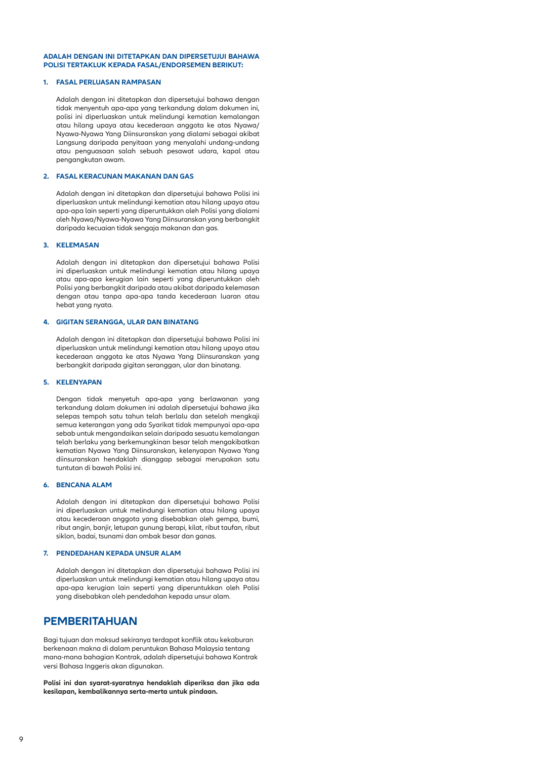### **ADALAH DENGAN INI DITETAPKAN DAN DIPERSETUJUI BAHAWA POLISI TERTAKLUK KEPADA FASAL/ENDORSEMEN BERIKUT:**

### **1. FASAL PERLUASAN RAMPASAN**

Adalah dengan ini ditetapkan dan dipersetujui bahawa dengan tidak menyentuh apa-apa yang terkandung dalam dokumen ini, polisi ini diperluaskan untuk melindungi kematian kemalangan atau hilang upaya atau kecederaan anggota ke atas Nyawa/ Nyawa-Nyawa Yang Diinsuranskan yang dialami sebagai akibat Langsung daripada penyitaan yang menyalahi undang-undang atau penguasaan salah sebuah pesawat udara, kapal atau pengangkutan awam.

#### **2. FASAL KERACUNAN MAKANAN DAN GAS**

Adalah dengan ini ditetapkan dan dipersetujui bahawa Polisi ini diperluaskan untuk melindungi kematian atau hilang upaya atau apa-apa lain seperti yang diperuntukkan oleh Polisi yang dialami oleh Nyawa/Nyawa-Nyawa Yang Diinsuranskan yang berbangkit daripada kecuaian tidak sengaja makanan dan gas.

#### **3. KELEMASAN**

Adalah dengan ini ditetapkan dan dipersetujui bahawa Polisi ini diperluaskan untuk melindungi kematian atau hilang upaya atau apa-apa kerugian lain seperti yang diperuntukkan oleh Polisi yang berbangkit daripada atau akibat daripada kelemasan dengan atau tanpa apa-apa tanda kecederaan luaran atau hebat yang nyata.

### **4. GIGITAN SERANGGA, ULAR DAN BINATANG**

Adalah dengan ini ditetapkan dan dipersetujui bahawa Polisi ini diperluaskan untuk melindungi kematian atau hilang upaya atau kecederaan anggota ke atas Nyawa Yang Diinsuranskan yang berbangkit daripada gigitan seranggan, ular dan binatang.

### **5. KELENYAPAN**

Dengan tidak menyetuh apa-apa yang berlawanan yang terkandung dalam dokumen ini adalah dipersetujui bahawa jika selepas tempoh satu tahun telah berlalu dan setelah mengkaji semua keterangan yang ada Syarikat tidak mempunyai apa-apa sebab untuk mengandaikan selain daripada sesuatu kemalangan telah berlaku yang berkemungkinan besar telah mengakibatkan kematian Nyawa Yang Diinsuranskan, kelenyapan Nyawa Yang diinsuranskan hendaklah dianggap sebagai merupakan satu tuntutan di bawah Polisi ini.

#### **6. BENCANA ALAM**

Adalah dengan ini ditetapkan dan dipersetujui bahawa Polisi ini diperluaskan untuk melindungi kematian atau hilang upaya atau kecederaan anggota yang disebabkan oleh gempa, bumi, ribut angin, banjir, letupan gunung berapi, kilat, ribut taufan, ribut siklon, badai, tsunami dan ombak besar dan ganas.

### **7. PENDEDAHAN KEPADA UNSUR ALAM**

Adalah dengan ini ditetapkan dan dipersetujui bahawa Polisi ini diperluaskan untuk melindungi kematian atau hilang upaya atau apa-apa kerugian lain seperti yang diperuntukkan oleh Polisi yang disebabkan oleh pendedahan kepada unsur alam.

### **PEMBERITAHUAN**

Bagi tujuan dan maksud sekiranya terdapat konflik atau kekaburan berkenaan makna di dalam peruntukan Bahasa Malaysia tentang mana-mana bahagian Kontrak, adalah dipersetujui bahawa Kontrak versi Bahasa Inggeris akan digunakan.

**Polisi ini dan syarat-syaratnya hendaklah diperiksa dan jika ada kesilapan, kembalikannya serta-merta untuk pindaan.**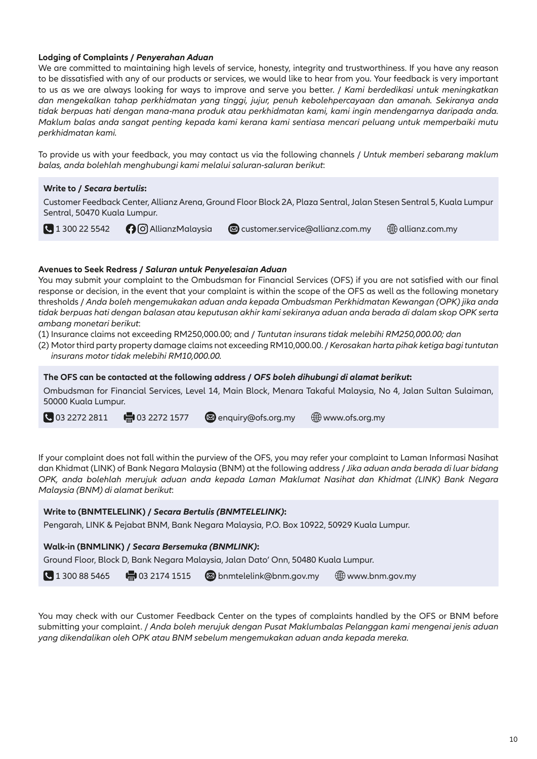### **Lodging of Complaints /** *Penyerahan Aduan*

We are committed to maintaining high levels of service, honesty, integrity and trustworthiness. If you have any reason to be dissatisfied with any of our products or services, we would like to hear from you. Your feedback is very important to us as we are always looking for ways to improve and serve you better. / *Kami berdedikasi untuk meningkatkan dan mengekalkan tahap perkhidmatan yang tinggi, jujur, penuh kebolehpercayaan dan amanah. Sekiranya anda tidak berpuas hati dengan mana-mana produk atau perkhidmatan kami, kami ingin mendengarnya daripada anda. Maklum balas anda sangat penting kepada kami kerana kami sentiasa mencari peluang untuk memperbaiki mutu perkhidmatan kami.*

To provide us with your feedback, you may contact us via the following channels / *Untuk memberi sebarang maklum balas, anda bolehlah menghubungi kami melalui saluran-saluran berikut*:

### **Write to /** *Secara bertulis***:**

Customer Feedback Center, Allianz Arena, Ground Floor Block 2A, Plaza Sentral, Jalan Stesen Sentral 5, Kuala Lumpur Sentral, 50470 Kuala Lumpur.

1 300 22 5542 **O** AllianzMalaysia **a** customer.service@allianz.com.my 
allianz.com.my

### **Avenues to Seek Redress /** *Saluran untuk Penyelesaian Aduan*

You may submit your complaint to the Ombudsman for Financial Services (OFS) if you are not satisfied with our final response or decision, in the event that your complaint is within the scope of the OFS as well as the following monetary thresholds / *Anda boleh mengemukakan aduan anda kepada Ombudsman Perkhidmatan Kewangan (OPK) jika anda tidak berpuas hati dengan balasan atau keputusan akhir kami sekiranya aduan anda berada di dalam skop OPK serta ambang monetari berikut*:

- (1) Insurance claims not exceeding RM250,000.00; and / *Tuntutan insurans tidak melebihi RM250,000.00; dan*
- (2) Motor third party property damage claims not exceeding RM10,000.00. / *Kerosakan harta pihak ketiga bagi tuntutan insurans motor tidak melebihi RM10,000.00.*

**The OFS can be contacted at the following address /** *OFS boleh dihubungi di alamat berikut***:**

Ombudsman for Financial Services, Level 14, Main Block, Menara Takaful Malaysia, No 4, Jalan Sultan Sulaiman, 50000 Kuala Lumpur.

 $\Box$  03 2272 2811  $\Box$  03 2272 1577  $\Box$  enquiry@ofs.org.my  $\bigoplus$  www.ofs.org.my

If your complaint does not fall within the purview of the OFS, you may refer your complaint to Laman Informasi Nasihat dan Khidmat (LINK) of Bank Negara Malaysia (BNM) at the following address / *Jika aduan anda berada di luar bidang OPK, anda bolehlah merujuk aduan anda kepada Laman Maklumat Nasihat dan Khidmat (LINK) Bank Negara Malaysia (BNM) di alamat berikut*:

### **Write to (BNMTELELINK) /** *Secara Bertulis (BNMTELELINK)***:**

Pengarah, LINK & Pejabat BNM, Bank Negara Malaysia, P.O. Box 10922, 50929 Kuala Lumpur.

### **Walk-in (BNMLINK) /** *Secara Bersemuka (BNMLINK)***:**

Ground Floor, Block D, Bank Negara Malaysia, Jalan Dato' Onn, 50480 Kuala Lumpur.

1 300 88 5465  $\Box$  03 2174 1515  $\Box$  bnmtelelink@bnm.gov.my  $\bigoplus$  www.bnm.gov.my

You may check with our Customer Feedback Center on the types of complaints handled by the OFS or BNM before submitting your complaint. / *Anda boleh merujuk dengan Pusat Maklumbalas Pelanggan kami mengenai jenis aduan yang dikendalikan oleh OPK atau BNM sebelum mengemukakan aduan anda kepada mereka.*